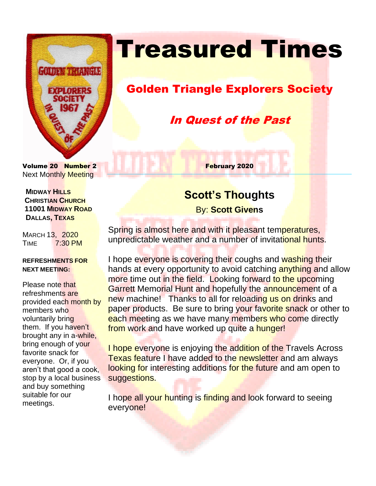

# **Treasured Times**

### Golden Triangle Explorers Society

### In Quest of the Past

Volume 20 Number 2 February 2020 Next Monthly Meeting

 **MIDWAY HILLS CHRISTIAN CHURCH 11001 MIDWAY ROAD DALLAS, TEXAS**

MARCH 13, 2020 TIME 7:30 PM

#### **REFRESHMENTS FOR NEXT MEETING:**

Please note that refreshments are provided each month by members who voluntarily bring them. If you haven't brought any in a-while, bring enough of your favorite snack for everyone. Or, if you aren't that good a cook, stop by a local business and buy something suitable for our meetings.

### **Scott's Thoughts**

By: **Scott Givens**

Spring is almost here and with it pleasant temperatures, unpredictable weather and a number of invitational hunts.

I hope everyone is covering their coughs and washing their hands at every opportunity to avoid catching anything and allow more time out in the field. Looking forward to the upcoming Garrett Memorial Hunt and hopefully the announcement of a new machine! Thanks to all for reloading us on drinks and paper products. Be sure to bring your favorite snack or other to each meeting as we have many members who come directly from work and have worked up quite a hunger!

I hope everyone is enjoying the addition of the Travels Across **Texas feature I have added to the newsletter and am always** looking for interesting additions for the future and am open to suggestions.

I hope all your hunting is finding and look forward to seeing everyone!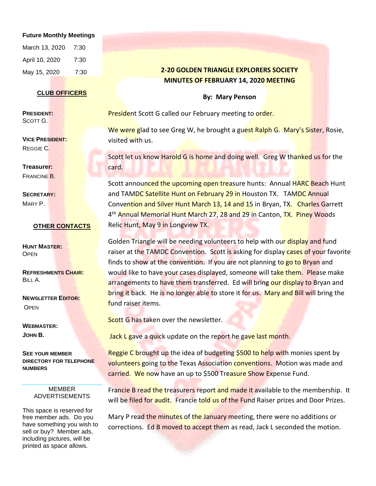#### **Future Monthly Meetings**

| March 13, 2020 | 7:30 |
|----------------|------|
| April 10, 2020 | 7:30 |
| May 15, 2020   | 7:30 |

#### **CLUB OFFICERS**

**PRESIDENT:** SCOTT G.

#### **VICE PRESIDENT:**  REGGIE C.

**Treasurer:**  FRANCINE B.

**SECRETARY:**  MARY P.

#### **OTHER CONTACTS**

**HUNT MASTER:** OPEN

**REFRESHMENTS CHAIR:** BILL A.

**NEWSLETTER EDITOR: OPEN** 

**WEBMASTER: JOHN B.**

**SEE YOUR MEMBER DIRECTORY FOR TELEPHONE NUMBERS**

#### MEMBER ADVERTISEMENTS

This space is reserved for free member ads. Do you have something you wish to sell or buy? Member ads, including pictures, will be printed as space allows.

### **2-20 GOLDEN TRIANGLE EXPLORERS SOCIETY MINUTES OF FEBRUARY 14, 2020 MEETING**

**By: Mary Penson**

**President Scott G called our February meeting to order.** 

We were glad to see Greg W, he brought a guest Ralph G. Mary's Sister, Rosie, visited with us.

Scott let us know Harold G is home and doing well. Greg W thanked us for the card.

Scott announced the upcoming open treasure hunts: Annual HARC Beach Hunt and TAMDC Satellite Hunt on February 29 in Houston TX. TAMDC Annual Convention and Silver Hunt March 13, 14 and 15 in Bryan, TX. Charles Garrett 4<sup>th</sup> Annual Memorial Hunt March 27, 28 and 29 in Canton, TX. Piney Woods Relic Hunt, May 9 in Longview TX.

Golden Triangle will be needing volunteers to help with our display and fund raiser at the TAMDC Convention. Scott is asking for display cases of your favorite finds to show at the convention. If you are not planning to go to Bryan and would like to have your cases displayed, someone will take them. Please make arrangements to have them transferred. Ed will bring our display to Bryan and bring it back. He is no longer able to store it for us. Mary and Bill will bring the fund raiser items.

Scott G has taken over the newsletter.

Jack L gave a quick update on the report he gave last month.

Reggie C brought up the idea of budgeting \$500 to help with monies spent by volunteers going to the Texas Association conventions. Motion was made and carried. We now have an up to \$500 Treasure Show Expense Fund.

Francie B read the treasurers report and made it available to the membership. It will be filed for audit. Francie told us of the Fund Raiser prizes and Door Prizes.

Mary P read the minutes of the January meeting, there were no additions or corrections. Ed B moved to accept them as read, Jack L seconded the motion.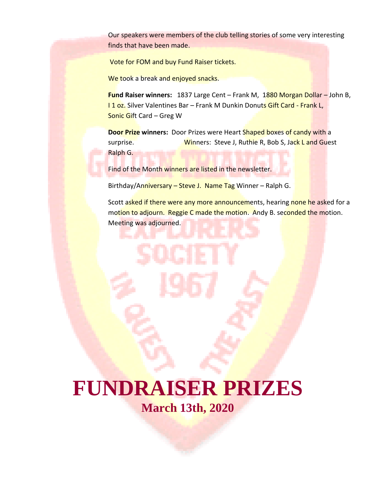Our speakers were members of the club telling stories of some very interesting finds that have been made.

Vote for FOM and buy Fund Raiser tickets.

We took a break and enjoyed snacks.

**Fund Raiser winners:** 1837 Large Cent – Frank M, 1880 Morgan Dollar – John B, I 1 oz. Silver Valentines Bar – Frank M Dunkin Donuts Gift Card - Frank L, Sonic Gift Card – Greg W

**Door Prize winners:** Door Prizes were Heart Shaped boxes of candy with a surprise. Winners: Steve J, Ruthie R, Bob S, Jack L and Guest Ralph G.



Find of the Month winners are listed in the newsletter.

Birthday/Anniversary - Steve J. Name Tag Winner - Ralph G.

Scott asked if there were any more announcements, hearing none he asked for a motion to adjourn. Reggie C made the motion. Andy B. seconded the motion. Meeting was adjourned.

## **FUNDRAISER PRIZES March 13th, 2020**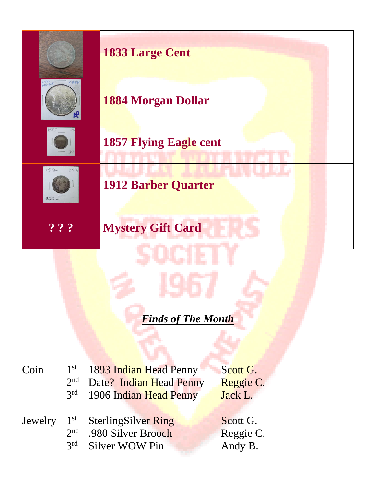

### *Finds of The Month*

| Coin | 1 <sup>st</sup> 1893 Indian Head Penny                                           | Scott G.      |
|------|----------------------------------------------------------------------------------|---------------|
|      | 2 <sup>nd</sup> Date? Indian Head Penny                                          | Reggie C.     |
|      | 3rd 1906 Indian Head Penny                                                       | Jack L.       |
|      |                                                                                  |               |
|      | $\mathbf{A}$ of $\mathbf{A}$ and $\mathbf{A}$ and $\mathbf{A}$ is $\mathbf{A}$ . | $\sim$ $\sim$ |

|  | Jewelry 1 <sup>st</sup> SterlingSilver Ring | Scott G.  |
|--|---------------------------------------------|-----------|
|  | $2nd$ .980 Silver Brooch                    | Reggie C. |
|  | 3rd Silver WOW Pin                          | Andy B.   |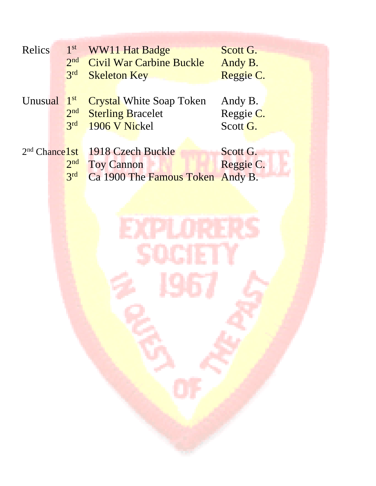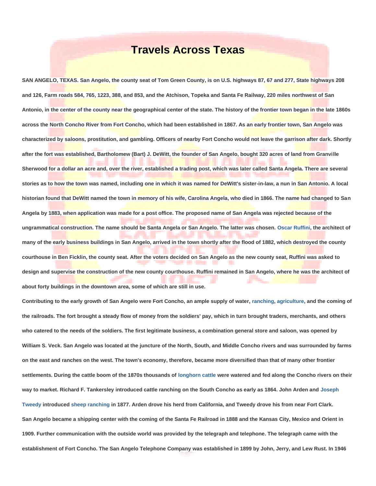### **Travels Across Texas**

**SAN ANGELO, TEXAS. San Angelo, the county seat of Tom Green County, is on U.S. highways 87, 67 and 277, State highways 208 and 126, Farm roads 584, 765, 1223, 388, and 853, and the Atchison, Topeka and Santa Fe Railway, 220 miles northwest of San Antonio, in the center of the county near the geographical center of the state. The history of the frontier town began in the late 1860s across the North Concho River from Fort Concho, which had been established in 1867. As an early frontier town, San Angelo was characterized by saloons, prostitution, and gambling. Officers of nearby Fort Concho would not leave the garrison after dark. Shortly after the fort was established, Bartholomew (Bart) J. DeWitt, the founder of San Angelo, bought 320 acres of land from Granville Sherwood for a dollar an acre and, over the river, established a trading post, which was later called Santa Angela. There are several stories as to how the town was named, including one in which it was named for DeWitt's sister-in-law, a nun in San Antonio. A local historian found that DeWitt named the town in memory of his wife, Carolina Angela, who died in 1866. The name had changed to San Angela by 1883, when application was made for a post office. The proposed name of San Angela was rejected because of the ungrammatical construction. The name should be Santa Angela or San Angelo. The latter was chosen[. Oscar Ruffini,](https://tshaonline.org/handbook/online/articles/fru09) the architect of many of the early business buildings in San Angelo, arrived in the town shortly after the flood of 1882, which destroyed the county courthouse in Ben Ficklin, the county seat. After the voters decided on San Angelo as the new county seat, Ruffini was asked to design and supervise the construction of the new county courthouse. Ruffini remained in San Angelo, where he was the architect of about forty buildings in the downtown area, some of which are still in use.**

**Contributing to the early growth of San Angelo were Fort Concho, an ample supply of water, [ranching,](https://tshaonline.org/handbook/online/articles/azr02) [agriculture,](https://tshaonline.org/handbook/online/articles/ama01) and the coming of the railroads. The fort brought a steady flow of money from the soldiers' pay, which in turn brought traders, merchants, and others who catered to the needs of the soldiers. The first legitimate business, a combination general store and saloon, was opened by William S. Veck. San Angelo was located at the juncture of the North, South, and Middle Concho rivers and was surrounded by farms on the east and ranches on the west. The town's economy, therefore, became more diversified than that of many other frontier settlements. During the cattle boom of the 1870s thousands of [longhorn cattle](https://tshaonline.org/handbook/online/articles/atl02) were watered and fed along the Concho rivers on their way to market. Richard F. Tankersley introduced cattle ranching on the South Concho as early as 1864. John Arden and [Joseph](https://tshaonline.org/handbook/online/articles/ftw01)  [Tweedy](https://tshaonline.org/handbook/online/articles/ftw01) introduced [sheep ranching](https://tshaonline.org/handbook/online/articles/aus01) in 1877. Arden drove his herd from California, and Tweedy drove his from near Fort Clark. San Angelo became a shipping center with the coming of the Santa Fe Railroad in 1888 and the Kansas City, Mexico and Orient in 1909. Further communication with the outside world was provided by the telegraph and telephone. The telegraph came with the establishment of Fort Concho. The San Angelo Telephone Company was established in 1899 by John, Jerry, and Lew Rust. In 1946**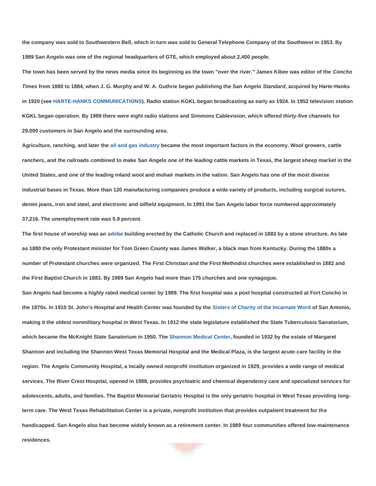**the company was sold to Southwestern Bell, which in turn was sold to General Telephone Company of the Southwest in 1953. By 1989 San Angelo was one of the regional headquarters of GTE, which employed about 2,400 people.**

**The town has been served by the news media since its beginning as the town "over the river." James Kibee was editor of the** *Concho Times* **from 1880 to 1884, when J. G. Murphy and W. A. Guthrie began publishing the San Angelo** *Standard***, acquired by Harte-Hanks in 1920 (***see* **[HARTE-HANKS COMMUNICATIONS\)](https://tshaonline.org/handbook/online/articles/ehh01). Radio station KGKL began broadcasting as early as 1924. In 1952 television station KGKL began operation. By 1989 there were eight radio stations and Simmons Cablevision, which offered thirty-five channels for 29,000 customers in San Angelo and the surrounding area.**

**Agriculture, ranching, and later th[e oil and gas industry](https://tshaonline.org/handbook/online/articles/doogz) became the most important factors in the economy. Wool growers, cattle ranchers, and the railroads combined to make San Angelo one of the leading cattle markets in Texas, the largest sheep market in the United States, and one of the leading inland wool and mohair markets in the nation. San Angelo has one of the most diverse industrial bases in Texas. More than 120 manufacturing companies produce a wide variety of products, including surgical sutures, denim jeans, iron and steel, and electronic and oilfield equipment. In 1991 the San Angelo labor force numbered approximately 37,216. The unemployment rate was 5.9 percent.**

**The first house of worship was an [adobe](https://tshaonline.org/handbook/online/articles/cmahf) building erected by the Catholic Church and replaced in 1883 by a stone structure. As late as 1880 the only Protestant minister for Tom Green County was James Walker, a black man from Kentucky. During the 1880s a number of Protestant churches were organized. The First Christian and the First Methodist churches were established in 1882 and the First Baptist Church in 1883. By 1989 San Angelo had more than 175 churches and one synagogue.**

**San Angelo had become a highly rated medical center by 1989. The first hospital was a post hospital constructed at Fort Concho in the 1870s. In 1910 St. John's Hospital and Health Center was founded by the [Sisters of Charity of the Incarnate Word](https://tshaonline.org/handbook/online/articles/ixs02) of San Antonio, making it the oldest nonmilitary hospital in West Texas. In 1912 the state legislature established the State Tuberculosis Sanatorium, which became the McKnight State Sanatorium in 1950. The [Shannon Medical Center,](https://tshaonline.org/handbook/online/articles/sbs09) founded in 1932 by the estate of Margaret Shannon and including the Shannon West Texas Memorial Hospital and the Medical Plaza, is the largest acute-care facility in the region. The Angelo Community Hospital, a locally owned nonprofit institution organized in 1929, provides a wide range of medical services. The River Crest Hospital, opened in 1988, provides psychiatric and chemical dependency care and specialized services for adolescents, adults, and families. The Baptist Memorial Geriatric Hospital is the only geriatric hospital in West Texas providing longterm care. The West Texas Rehabilitation Center is a private, nonprofit institution that provides outpatient treatment for the handicapped. San Angelo also has become widely known as a retirement center. In 1989 four communities offered low-maintenance residences.**

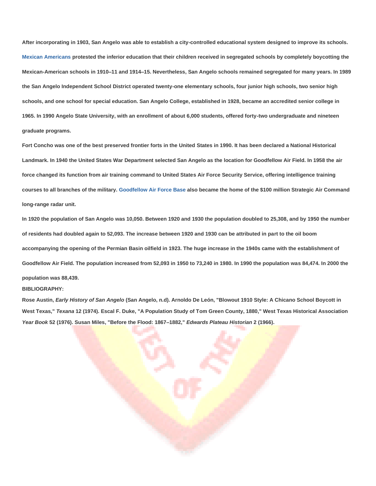**After incorporating in 1903, San Angelo was able to establish a city-controlled educational system designed to improve its schools. [Mexican Americans](https://tshaonline.org/handbook/online/articles/pqmue) protested the inferior education that their children received in segregated schools by completely boycotting the Mexican-American schools in 1910–11 and 1914–15. Nevertheless, San Angelo schools remained segregated for many years. In 1989 the San Angelo Independent School District operated twenty-one elementary schools, four junior high schools, two senior high schools, and one school for special education. San Angelo College, established in 1928, became an accredited senior college in 1965. In 1990 Angelo State University, with an enrollment of about 6,000 students, offered forty-two undergraduate and nineteen graduate programs.**

**Fort Concho was one of the best preserved frontier forts in the United States in 1990. It has been declared a National Historical Landmark. In 1940 the United States War Department selected San Angelo as the location for Goodfellow Air Field. In 1958 the air force changed its function from air training command to United States Air Force Security Service, offering intelligence training courses to all branches of the military. [Goodfellow Air Force Base](https://tshaonline.org/handbook/online/articles/qbg01) also became the home of the \$100 million Strategic Air Command long-range radar unit.**

**In 1920 the population of San Angelo was 10,050. Between 1920 and 1930 the population doubled to 25,308, and by 1950 the number of residents had doubled again to 52,093. The increase between 1920 and 1930 can be attributed in part to the oil boom accompanying the opening of the Permian Basin oilfield in 1923. The huge increase in the 1940s came with the establishment of Goodfellow Air Field. The population increased from 52,093 in 1950 to 73,240 in 1980. In 1990 the population was 84,474. In 2000 the population was 88,439.**

#### **BIBLIOGRAPHY:**

**Rose Austin,** *Early History of San Angelo* **(San Angelo, n.d). Arnoldo De León, "Blowout 1910 Style: A Chicano School Boycott in West Texas,"** *Texana* **12 (1974). Escal F. Duke, "A Population Study of Tom Green County, 1880," West Texas Historical Association**  *Year Book* **52 (1976). Susan Miles, "Before the Flood: 1867–1882,"** *Edwards Plateau Historian* **2 (1966).**